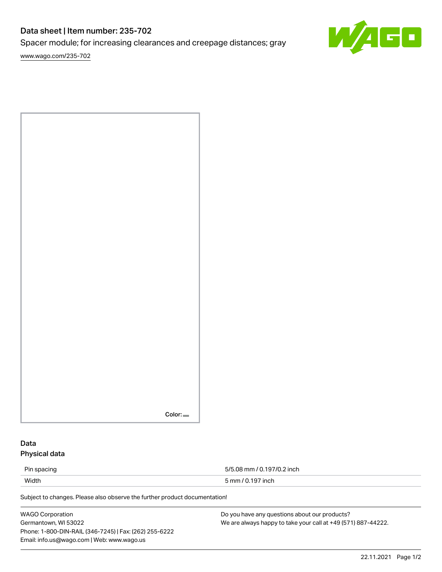# Data sheet | Item number: 235-702

Spacer module; for increasing clearances and creepage distances; gray

[www.wago.com/235-702](http://www.wago.com/235-702)



| $Color =$ |
|-----------|

## Data Physical data

Pin spacing 5/5.08 mm / 0.197/0.2 inch

Width 5 mm / 0.197 inch

Subject to changes. Please also observe the further product documentation!

WAGO Corporation Germantown, WI 53022 Phone: 1-800-DIN-RAIL (346-7245) | Fax: (262) 255-6222 Email: info.us@wago.com | Web: www.wago.us

Do you have any questions about our products? We are always happy to take your call at +49 (571) 887-44222.